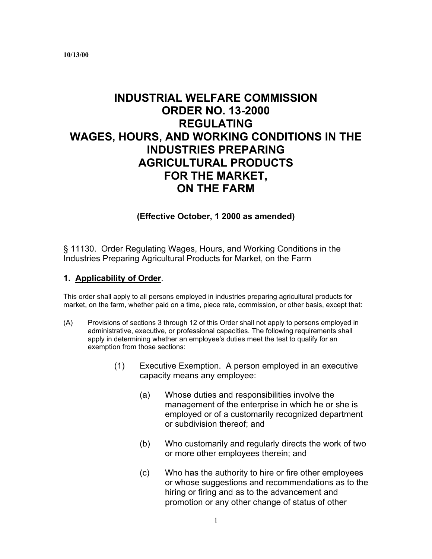#### **10/13/00**

# **INDUSTRIAL WELFARE COMMISSION ORDER NO. 13-2000 REGULATING WAGES, HOURS, AND WORKING CONDITIONS IN THE INDUSTRIES PREPARING AGRICULTURAL PRODUCTS FOR THE MARKET, ON THE FARM**

### **(Effective October, 1 2000 as amended)**

§ 11130. Order Regulating Wages, Hours, and Working Conditions in the Industries Preparing Agricultural Products for Market, on the Farm

#### **1. Applicability of Order**.

This order shall apply to all persons employed in industries preparing agricultural products for market, on the farm, whether paid on a time, piece rate, commission, or other basis, except that:

- $(A)$ Provisions of sections 3 through 12 of this Order shall not apply to persons employed in administrative, executive, or professional capacities. The following requirements shall apply in determining whether an employee's duties meet the test to qualify for an exemption from those sections:
	- (1) Executive Exemption. A person employed in an executive capacity means any employee:
		- (a) Whose duties and responsibilities involve the management of the enterprise in which he or she is employed or of a customarily recognized department or subdivision thereof; and
		- (b) Who customarily and regularly directs the work of two or more other employees therein; and
		- (c) Who has the authority to hire or fire other employees or whose suggestions and recommendations as to the hiring or firing and as to the advancement and promotion or any other change of status of other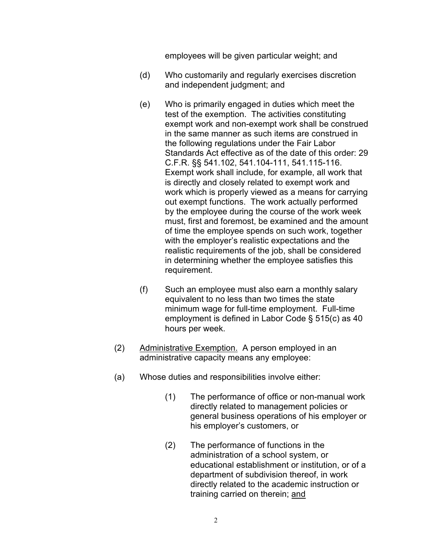employees will be given particular weight; and

- (d) Who customarily and regularly exercises discretion and independent judgment; and
- (e) Who is primarily engaged in duties which meet the test of the exemption. The activities constituting exempt work and non-exempt work shall be construed in the same manner as such items are construed in the following regulations under the Fair Labor Standards Act effective as of the date of this order: 29 C.F.R. §§ 541.102, 541.104-111, 541.115-116. Exempt work shall include, for example, all work that is directly and closely related to exempt work and work which is properly viewed as a means for carrying out exempt functions. The work actually performed by the employee during the course of the work week must, first and foremost, be examined and the amount of time the employee spends on such work, together with the employer's realistic expectations and the realistic requirements of the job, shall be considered in determining whether the employee satisfies this requirement.
- (f) Such an employee must also earn a monthly salary equivalent to no less than two times the state minimum wage for full-time employment. Full-time employment is defined in Labor Code § 515(c) as 40 hours per week.
- (2) Administrative Exemption. A person employed in an administrative capacity means any employee:
- (a) Whose duties and responsibilities involve either:
	- (1) The performance of office or non-manual work directly related to management policies or general business operations of his employer or his employer's customers, or
	- (2) The performance of functions in the administration of a school system, or educational establishment or institution, or of a department of subdivision thereof, in work directly related to the academic instruction or training carried on therein; and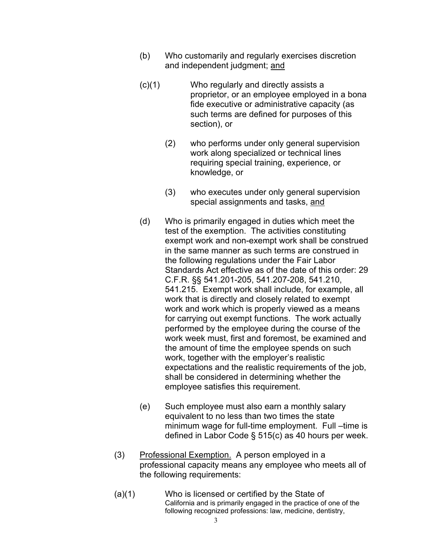- (b) Who customarily and regularly exercises discretion and independent judgment; and
- $(c)(1)$  Who regularly and directly assists a proprietor, or an employee employed in a bona fide executive or administrative capacity (as such terms are defined for purposes of this section), or
	- (2) who performs under only general supervision work along specialized or technical lines requiring special training, experience, or knowledge, or
	- (3) who executes under only general supervision special assignments and tasks, and
- (d) Who is primarily engaged in duties which meet the test of the exemption. The activities constituting exempt work and non-exempt work shall be construed in the same manner as such terms are construed in the following regulations under the Fair Labor Standards Act effective as of the date of this order: 29 C.F.R. §§ 541.201-205, 541.207-208, 541.210, 541.215. Exempt work shall include, for example, all work that is directly and closely related to exempt work and work which is properly viewed as a means for carrying out exempt functions. The work actually performed by the employee during the course of the work week must, first and foremost, be examined and the amount of time the employee spends on such work, together with the employer's realistic expectations and the realistic requirements of the job, shall be considered in determining whether the employee satisfies this requirement.
- (e) Such employee must also earn a monthly salary equivalent to no less than two times the state minimum wage for full-time employment. Full –time is defined in Labor Code § 515(c) as 40 hours per week.
- (3) Professional Exemption. A person employed in a professional capacity means any employee who meets all of the following requirements:
- $(a)(1)$  Who is licensed or certified by the State of California and is primarily engaged in the practice of one of the following recognized professions: law, medicine, dentistry,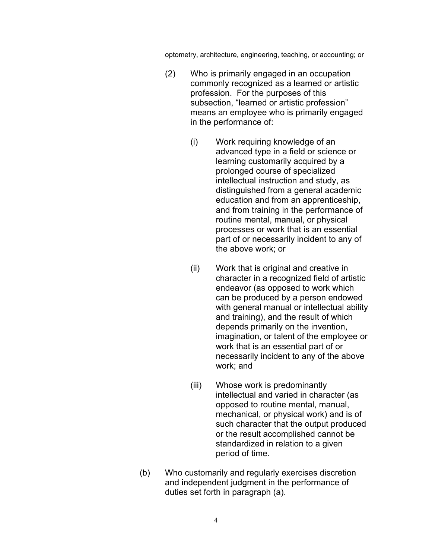optometry, architecture, engineering, teaching, or accounting; or

- (2) Who is primarily engaged in an occupation commonly recognized as a learned or artistic profession. For the purposes of this subsection, "learned or artistic profession" means an employee who is primarily engaged in the performance of:
	- (i) Work requiring knowledge of an advanced type in a field or science or learning customarily acquired by a prolonged course of specialized intellectual instruction and study, as distinguished from a general academic education and from an apprenticeship, and from training in the performance of routine mental, manual, or physical processes or work that is an essential part of or necessarily incident to any of the above work; or
	- (ii) Work that is original and creative in character in a recognized field of artistic endeavor (as opposed to work which can be produced by a person endowed with general manual or intellectual ability and training), and the result of which depends primarily on the invention, imagination, or talent of the employee or work that is an essential part of or necessarily incident to any of the above work; and
	- (iii) Whose work is predominantly intellectual and varied in character (as opposed to routine mental, manual, mechanical, or physical work) and is of such character that the output produced or the result accomplished cannot be standardized in relation to a given period of time.
- (b) Who customarily and regularly exercises discretion and independent judgment in the performance of duties set forth in paragraph (a).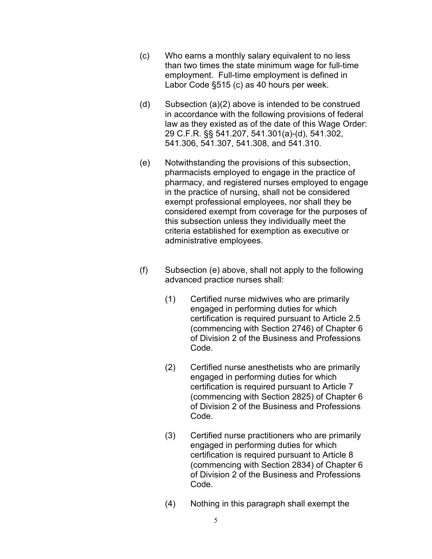- (c) Who earns a monthly salary equivalent to no less than two times the state minimum wage for full-time employment. Full-time employment is defined in Labor Code §515 (c) as 40 hours per week.
- (d) Subsection  $(a)(2)$  above is intended to be construed in accordance with the following provisions of federal law as they existed as of the date of this Wage Order: 29 C.F.R. §§ 541.207, 541.301(a)-(d), 541.302, 541.306, 541.307, 541.308, and 541.310.
- (e) Notwithstanding the provisions of this subsection, pharmacists employed to engage in the practice of pharmacy, and registered nurses employed to engage in the practice of nursing, shall not be considered exempt professional employees, nor shall they be considered exempt from coverage for the purposes of this subsection unless they individually meet the criteria established for exemption as executive or administrative employees.
- (f) Subsection (e) above, shall not apply to the following advanced practice nurses shall:
	- (1) Certified nurse midwives who are primarily engaged in performing duties for which certification is required pursuant to Article 2.5 (commencing with Section 2746) of Chapter 6 of Division 2 of the Business and Professions Code.
	- (2) Certified nurse anesthetists who are primarily engaged in performing duties for which certification is required pursuant to Article 7 (commencing with Section 2825) of Chapter 6 of Division 2 of the Business and Professions Code.
	- (3) Certified nurse practitioners who are primarily engaged in performing duties for which certification is required pursuant to Article 8 (commencing with Section 2834) of Chapter 6 of Division 2 of the Business and Professions Code.
	- (4) Nothing in this paragraph shall exempt the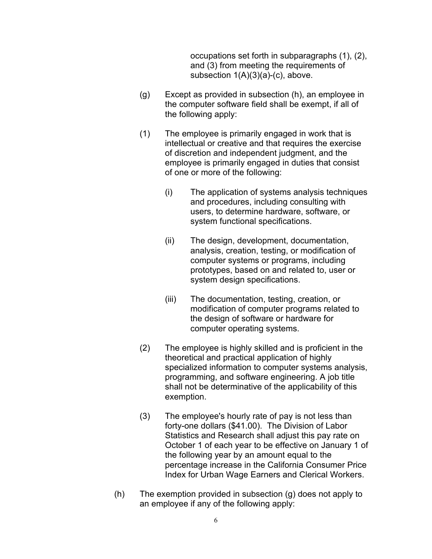occupations set forth in subparagraphs (1), (2), and (3) from meeting the requirements of subsection 1(A)(3)(a)-(c), above.

- (g) Except as provided in subsection (h), an employee in the computer software field shall be exempt, if all of the following apply:
- (1) The employee is primarily engaged in work that is intellectual or creative and that requires the exercise of discretion and independent judgment, and the employee is primarily engaged in duties that consist of one or more of the following:
	- (i) The application of systems analysis techniques and procedures, including consulting with users, to determine hardware, software, or system functional specifications.
	- (ii) The design, development, documentation, analysis, creation, testing, or modification of computer systems or programs, including prototypes, based on and related to, user or system design specifications.
	- (iii) The documentation, testing, creation, or modification of computer programs related to the design of software or hardware for computer operating systems.
- (2) The employee is highly skilled and is proficient in the theoretical and practical application of highly specialized information to computer systems analysis, programming, and software engineering. A job title shall not be determinative of the applicability of this exemption.
- (3) The employee's hourly rate of pay is not less than forty-one dollars (\$41.00). The Division of Labor Statistics and Research shall adjust this pay rate on October 1 of each year to be effective on January 1 of the following year by an amount equal to the percentage increase in the California Consumer Price Index for Urban Wage Earners and Clerical Workers.
- $(h)$  The exemption provided in subsection  $(g)$  does not apply to an employee if any of the following apply: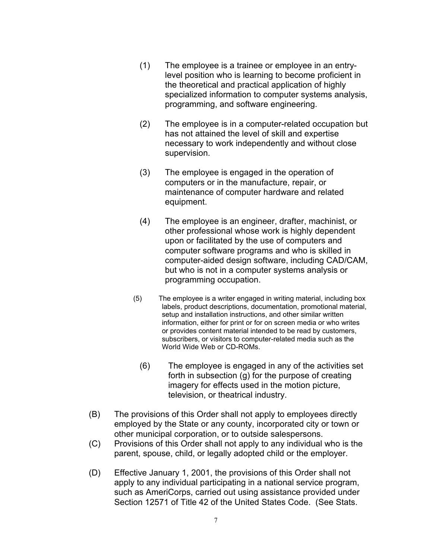- (1) The employee is a trainee or employee in an entrylevel position who is learning to become proficient in the theoretical and practical application of highly specialized information to computer systems analysis, programming, and software engineering.
- (2) The employee is in a computer-related occupation but has not attained the level of skill and expertise necessary to work independently and without close supervision.
- (3) The employee is engaged in the operation of computers or in the manufacture, repair, or maintenance of computer hardware and related equipment.
- (4) The employee is an engineer, drafter, machinist, or other professional whose work is highly dependent upon or facilitated by the use of computers and computer software programs and who is skilled in computer-aided design software, including CAD/CAM, but who is not in a computer systems analysis or programming occupation.
- (5) The employee is a writer engaged in writing material, including box labels, product descriptions, documentation, promotional material, setup and installation instructions, and other similar written information, either for print or for on screen media or who writes or provides content material intended to be read by customers, subscribers, or visitors to computer-related media such as the World Wide Web or CD-ROMs.
	- (6) The employee is engaged in any of the activities set forth in subsection (g) for the purpose of creating imagery for effects used in the motion picture, television, or theatrical industry.
- (B) The provisions of this Order shall not apply to employees directly employed by the State or any county, incorporated city or town or other municipal corporation, or to outside salespersons.
- (C) Provisions of this Order shall not apply to any individual who is the parent, spouse, child, or legally adopted child or the employer.
- (D) Effective January 1, 2001, the provisions of this Order shall not apply to any individual participating in a national service program, such as AmeriCorps, carried out using assistance provided under Section 12571 of Title 42 of the United States Code. (See Stats.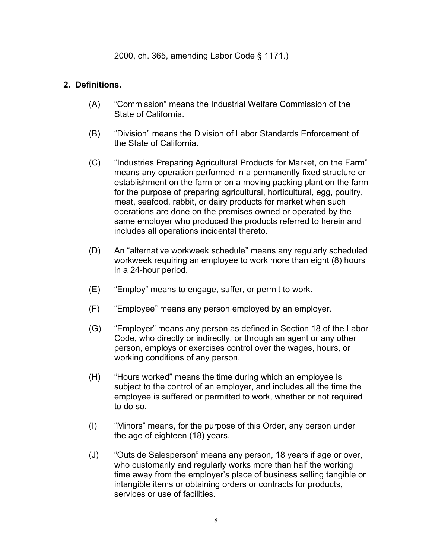2000, ch. 365, amending Labor Code § 1171.)

### **2. Definitions.**

- (A) "Commission" means the Industrial Welfare Commission of the State of California.
- (B) "Division" means the Division of Labor Standards Enforcement of the State of California.
- (C) "Industries Preparing Agricultural Products for Market, on the Farm" means any operation performed in a permanently fixed structure or establishment on the farm or on a moving packing plant on the farm for the purpose of preparing agricultural, horticultural, egg, poultry, meat, seafood, rabbit, or dairy products for market when such operations are done on the premises owned or operated by the same employer who produced the products referred to herein and includes all operations incidental thereto.
- (D) An "alternative workweek schedule" means any regularly scheduled workweek requiring an employee to work more than eight (8) hours in a 24-hour period.
- $(E)$ "Employ" means to engage, suffer, or permit to work.
- $(F)$ "Employee" means any person employed by an employer.
- (G) "Employer" means any person as defined in Section 18 of the Labor Code, who directly or indirectly, or through an agent or any other person, employs or exercises control over the wages, hours, or working conditions of any person.
- (H) "Hours worked" means the time during which an employee is subject to the control of an employer, and includes all the time the employee is suffered or permitted to work, whether or not required to do so.
- (I) "Minors" means, for the purpose of this Order, any person under the age of eighteen (18) years.
- (J) "Outside Salesperson" means any person, 18 years if age or over, who customarily and regularly works more than half the working time away from the employer's place of business selling tangible or intangible items or obtaining orders or contracts for products, services or use of facilities.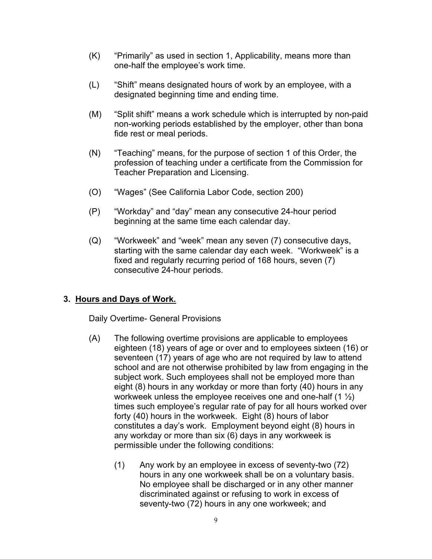- (K) "Primarily" as used in section 1, Applicability, means more than one-half the employee's work time.
- (L) "Shift" means designated hours of work by an employee, with a designated beginning time and ending time.
- (M) "Split shift" means a work schedule which is interrupted by non-paid non-working periods established by the employer, other than bona fide rest or meal periods.
- (N) "Teaching" means, for the purpose of section 1 of this Order, the profession of teaching under a certificate from the Commission for Teacher Preparation and Licensing.
- $(O)$ "Wages" (See California Labor Code, section 200)
- (P) "Workday" and "day" mean any consecutive 24-hour period beginning at the same time each calendar day.
- (Q) "Workweek" and "week" mean any seven (7) consecutive days, starting with the same calendar day each week. "Workweek" is a fixed and regularly recurring period of 168 hours, seven (7) consecutive 24-hour periods.

### **3. Hours and Days of Work.**

Daily Overtime- General Provisions

- (A) The following overtime provisions are applicable to employees eighteen (18) years of age or over and to employees sixteen (16) or seventeen (17) years of age who are not required by law to attend school and are not otherwise prohibited by law from engaging in the subject work. Such employees shall not be employed more than eight (8) hours in any workday or more than forty (40) hours in any workweek unless the employee receives one and one-half  $(1 \frac{1}{2})$ times such employee's regular rate of pay for all hours worked over forty (40) hours in the workweek. Eight (8) hours of labor constitutes a day's work. Employment beyond eight (8) hours in any workday or more than six (6) days in any workweek is permissible under the following conditions:
	- $(1)$  Any work by an employee in excess of seventy-two  $(72)$ hours in any one workweek shall be on a voluntary basis. No employee shall be discharged or in any other manner discriminated against or refusing to work in excess of seventy-two (72) hours in any one workweek; and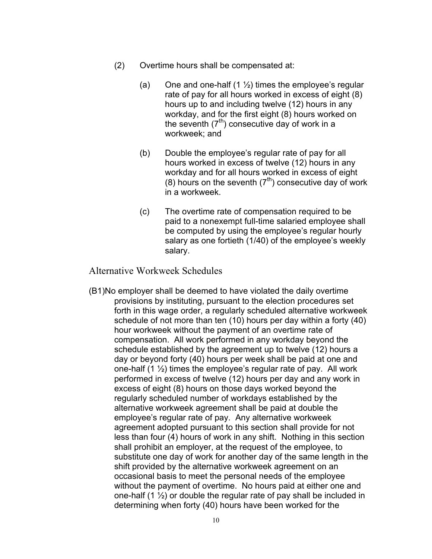- (2) Overtime hours shall be compensated at:
	- (a) One and one-half  $(1 \frac{1}{2})$  times the employee's regular rate of pay for all hours worked in excess of eight (8) hours up to and including twelve (12) hours in any workday, and for the first eight (8) hours worked on the seventh  $(7<sup>th</sup>)$  consecutive day of work in a workweek; and
	- (b) Double the employee's regular rate of pay for all hours worked in excess of twelve (12) hours in any workday and for all hours worked in excess of eight (8) hours on the seventh  $(7<sup>th</sup>)$  consecutive day of work in a workweek.
	- (c) The overtime rate of compensation required to be paid to a nonexempt full-time salaried employee shall be computed by using the employee's regular hourly salary as one fortieth (1/40) of the employee's weekly salary.

Alternative Workweek Schedules

(B1)No employer shall be deemed to have violated the daily overtime provisions by instituting, pursuant to the election procedures set forth in this wage order, a regularly scheduled alternative workweek schedule of not more than ten (10) hours per day within a forty (40) hour workweek without the payment of an overtime rate of compensation. All work performed in any workday beyond the schedule established by the agreement up to twelve (12) hours a day or beyond forty (40) hours per week shall be paid at one and one-half  $(1 \frac{1}{2})$  times the employee's regular rate of pay. All work performed in excess of twelve (12) hours per day and any work in excess of eight (8) hours on those days worked beyond the regularly scheduled number of workdays established by the alternative workweek agreement shall be paid at double the employee's regular rate of pay. Any alternative workweek agreement adopted pursuant to this section shall provide for not less than four (4) hours of work in any shift. Nothing in this section shall prohibit an employer, at the request of the employee, to substitute one day of work for another day of the same length in the shift provided by the alternative workweek agreement on an occasional basis to meet the personal needs of the employee without the payment of overtime. No hours paid at either one and one-half  $(1 \frac{1}{2})$  or double the regular rate of pay shall be included in determining when forty (40) hours have been worked for the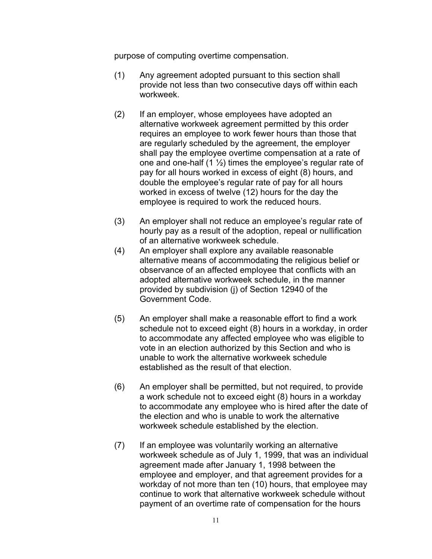purpose of computing overtime compensation.

- (1) Any agreement adopted pursuant to this section shall provide not less than two consecutive days off within each workweek.
- (2) If an employer, whose employees have adopted an alternative workweek agreement permitted by this order requires an employee to work fewer hours than those that are regularly scheduled by the agreement, the employer shall pay the employee overtime compensation at a rate of one and one-half  $(1 \frac{1}{2})$  times the employee's regular rate of pay for all hours worked in excess of eight (8) hours, and double the employee's regular rate of pay for all hours worked in excess of twelve (12) hours for the day the employee is required to work the reduced hours.
- (3) An employer shall not reduce an employee's regular rate of hourly pay as a result of the adoption, repeal or nullification of an alternative workweek schedule.
- (4) An employer shall explore any available reasonable alternative means of accommodating the religious belief or observance of an affected employee that conflicts with an adopted alternative workweek schedule, in the manner provided by subdivision (j) of Section 12940 of the Government Code.
- $(5)$  An employer shall make a reasonable effort to find a work schedule not to exceed eight (8) hours in a workday, in order to accommodate any affected employee who was eligible to vote in an election authorized by this Section and who is unable to work the alternative workweek schedule established as the result of that election.
- (6) An employer shall be permitted, but not required, to provide a work schedule not to exceed eight (8) hours in a workday to accommodate any employee who is hired after the date of the election and who is unable to work the alternative workweek schedule established by the election.
- (7) If an employee was voluntarily working an alternative workweek schedule as of July 1, 1999, that was an individual agreement made after January 1, 1998 between the employee and employer, and that agreement provides for a workday of not more than ten (10) hours, that employee may continue to work that alternative workweek schedule without payment of an overtime rate of compensation for the hours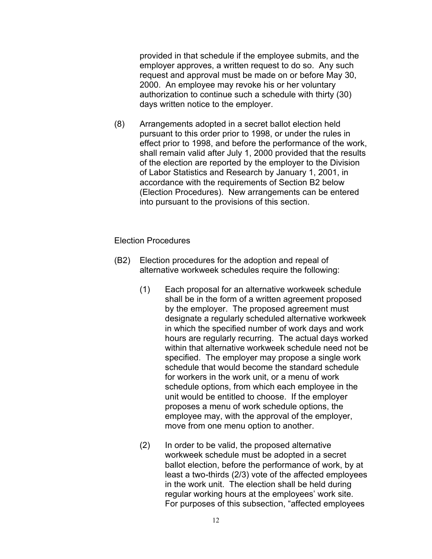provided in that schedule if the employee submits, and the employer approves, a written request to do so. Any such request and approval must be made on or before May 30, 2000. An employee may revoke his or her voluntary authorization to continue such a schedule with thirty (30) days written notice to the employer.

(8) Arrangements adopted in a secret ballot election held pursuant to this order prior to 1998, or under the rules in effect prior to 1998, and before the performance of the work, shall remain valid after July 1, 2000 provided that the results of the election are reported by the employer to the Division of Labor Statistics and Research by January 1, 2001, in accordance with the requirements of Section B2 below (Election Procedures). New arrangements can be entered into pursuant to the provisions of this section.

Election Procedures

- (B2) Election procedures for the adoption and repeal of alternative workweek schedules require the following:
	- (1) Each proposal for an alternative workweek schedule shall be in the form of a written agreement proposed by the employer. The proposed agreement must designate a regularly scheduled alternative workweek in which the specified number of work days and work hours are regularly recurring. The actual days worked within that alternative workweek schedule need not be specified. The employer may propose a single work schedule that would become the standard schedule for workers in the work unit, or a menu of work schedule options, from which each employee in the unit would be entitled to choose. If the employer proposes a menu of work schedule options, the employee may, with the approval of the employer, move from one menu option to another.
	- (2) In order to be valid, the proposed alternative workweek schedule must be adopted in a secret ballot election, before the performance of work, by at least a two-thirds (2/3) vote of the affected employees in the work unit. The election shall be held during regular working hours at the employees' work site. For purposes of this subsection, "affected employees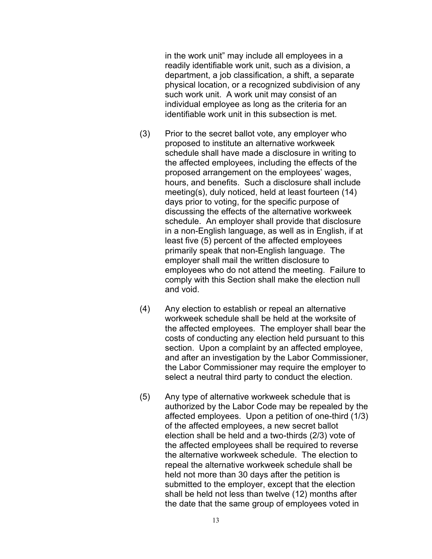in the work unit" may include all employees in a readily identifiable work unit, such as a division, a department, a job classification, a shift, a separate physical location, or a recognized subdivision of any such work unit. A work unit may consist of an individual employee as long as the criteria for an identifiable work unit in this subsection is met.

- (3) Prior to the secret ballot vote, any employer who proposed to institute an alternative workweek schedule shall have made a disclosure in writing to the affected employees, including the effects of the proposed arrangement on the employees' wages, hours, and benefits. Such a disclosure shall include meeting(s), duly noticed, held at least fourteen (14) days prior to voting, for the specific purpose of discussing the effects of the alternative workweek schedule. An employer shall provide that disclosure in a non-English language, as well as in English, if at least five (5) percent of the affected employees primarily speak that non-English language. The employer shall mail the written disclosure to employees who do not attend the meeting. Failure to comply with this Section shall make the election null and void.
- (4) Any election to establish or repeal an alternative workweek schedule shall be held at the worksite of the affected employees. The employer shall bear the costs of conducting any election held pursuant to this section. Upon a complaint by an affected employee, and after an investigation by the Labor Commissioner, the Labor Commissioner may require the employer to select a neutral third party to conduct the election.
- (5) Any type of alternative workweek schedule that is authorized by the Labor Code may be repealed by the affected employees. Upon a petition of one-third (1/3) of the affected employees, a new secret ballot election shall be held and a two-thirds (2/3) vote of the affected employees shall be required to reverse the alternative workweek schedule. The election to repeal the alternative workweek schedule shall be held not more than 30 days after the petition is submitted to the employer, except that the election shall be held not less than twelve (12) months after the date that the same group of employees voted in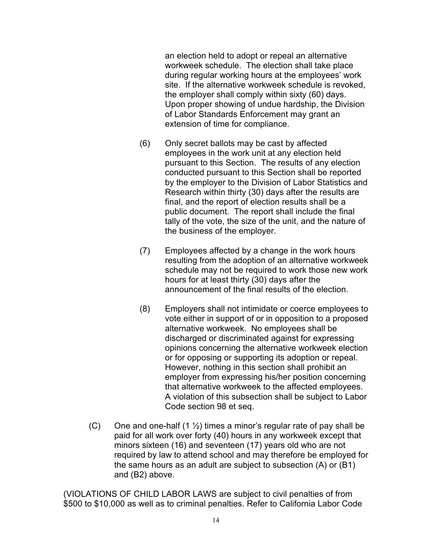an election held to adopt or repeal an alternative workweek schedule. The election shall take place during regular working hours at the employees' work site. If the alternative workweek schedule is revoked, the employer shall comply within sixty (60) days. Upon proper showing of undue hardship, the Division of Labor Standards Enforcement may grant an extension of time for compliance.

- (6) Only secret ballots may be cast by affected employees in the work unit at any election held pursuant to this Section. The results of any election conducted pursuant to this Section shall be reported by the employer to the Division of Labor Statistics and Research within thirty (30) days after the results are final, and the report of election results shall be a public document. The report shall include the final tally of the vote, the size of the unit, and the nature of the business of the employer.
- (7) Employees affected by a change in the work hours resulting from the adoption of an alternative workweek schedule may not be required to work those new work hours for at least thirty (30) days after the announcement of the final results of the election.
- (8) Employers shall not intimidate or coerce employees to vote either in support of or in opposition to a proposed alternative workweek. No employees shall be discharged or discriminated against for expressing opinions concerning the alternative workweek election or for opposing or supporting its adoption or repeal. However, nothing in this section shall prohibit an employer from expressing his/her position concerning that alternative workweek to the affected employees. A violation of this subsection shall be subject to Labor Code section 98 et seq.
- (C) One and one-half (1  $\frac{1}{2}$ ) times a minor's regular rate of pay shall be paid for all work over forty (40) hours in any workweek except that minors sixteen (16) and seventeen (17) years old who are not required by law to attend school and may therefore be employed for the same hours as an adult are subject to subsection (A) or (B1) and (B2) above.

(VIOLATIONS OF CHILD LABOR LAWS are subject to civil penalties of from \$500 to \$10,000 as well as to criminal penalties. Refer to California Labor Code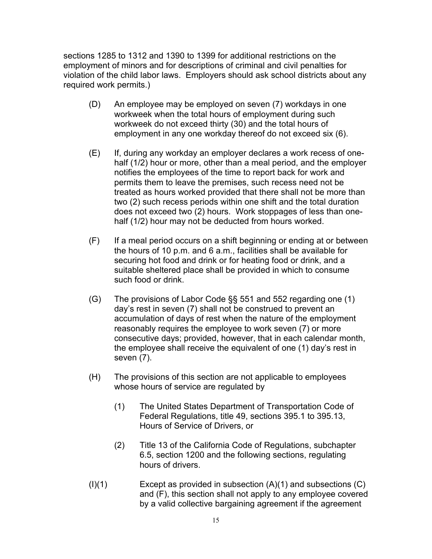sections 1285 to 1312 and 1390 to 1399 for additional restrictions on the employment of minors and for descriptions of criminal and civil penalties for violation of the child labor laws. Employers should ask school districts about any required work permits.)

- (D) An employee may be employed on seven (7) workdays in one workweek when the total hours of employment during such workweek do not exceed thirty (30) and the total hours of employment in any one workday thereof do not exceed six (6).
- (E) If, during any workday an employer declares a work recess of onehalf (1/2) hour or more, other than a meal period, and the employer notifies the employees of the time to report back for work and permits them to leave the premises, such recess need not be treated as hours worked provided that there shall not be more than two (2) such recess periods within one shift and the total duration does not exceed two (2) hours. Work stoppages of less than onehalf (1/2) hour may not be deducted from hours worked.
- (F) If a meal period occurs on a shift beginning or ending at or between the hours of 10 p.m. and 6 a.m., facilities shall be available for securing hot food and drink or for heating food or drink, and a suitable sheltered place shall be provided in which to consume such food or drink.
- (G) The provisions of Labor Code  $\S$ § 551 and 552 regarding one (1) day's rest in seven (7) shall not be construed to prevent an accumulation of days of rest when the nature of the employment reasonably requires the employee to work seven (7) or more consecutive days; provided, however, that in each calendar month, the employee shall receive the equivalent of one (1) day's rest in seven (7).
- (H) The provisions of this section are not applicable to employees whose hours of service are regulated by
	- (1) The United States Department of Transportation Code of Federal Regulations, title 49, sections 395.1 to 395.13, Hours of Service of Drivers, or
	- (2) Title 13 of the California Code of Regulations, subchapter 6.5, section 1200 and the following sections, regulating hours of drivers.
- $(I)(1)$ Except as provided in subsection  $(A)(1)$  and subsections  $(C)$ and (F), this section shall not apply to any employee covered by a valid collective bargaining agreement if the agreement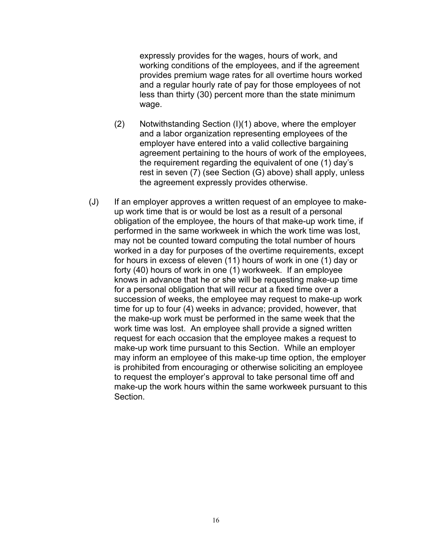expressly provides for the wages, hours of work, and working conditions of the employees, and if the agreement provides premium wage rates for all overtime hours worked and a regular hourly rate of pay for those employees of not less than thirty (30) percent more than the state minimum wage.

- (2) Notwithstanding Section  $(I)(1)$  above, where the employer and a labor organization representing employees of the employer have entered into a valid collective bargaining agreement pertaining to the hours of work of the employees, the requirement regarding the equivalent of one (1) day's rest in seven (7) (see Section (G) above) shall apply, unless the agreement expressly provides otherwise.
- (J) If an employer approves a written request of an employee to makeup work time that is or would be lost as a result of a personal obligation of the employee, the hours of that make-up work time, if performed in the same workweek in which the work time was lost, may not be counted toward computing the total number of hours worked in a day for purposes of the overtime requirements, except for hours in excess of eleven (11) hours of work in one (1) day or forty (40) hours of work in one (1) workweek. If an employee knows in advance that he or she will be requesting make-up time for a personal obligation that will recur at a fixed time over a succession of weeks, the employee may request to make-up work time for up to four (4) weeks in advance; provided, however, that the make-up work must be performed in the same week that the work time was lost. An employee shall provide a signed written request for each occasion that the employee makes a request to make-up work time pursuant to this Section. While an employer may inform an employee of this make-up time option, the employer is prohibited from encouraging or otherwise soliciting an employee to request the employer's approval to take personal time off and make-up the work hours within the same workweek pursuant to this Section.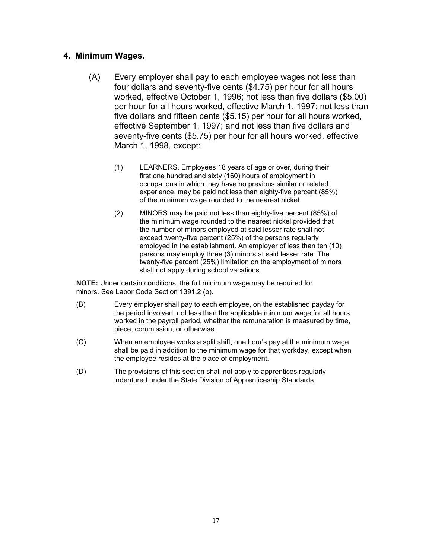### **4. Minimum Wages.**

- (A) Every employer shall pay to each employee wages not less than four dollars and seventy-five cents (\$4.75) per hour for all hours worked, effective October 1, 1996; not less than five dollars (\$5.00) per hour for all hours worked, effective March 1, 1997; not less than five dollars and fifteen cents (\$5.15) per hour for all hours worked, effective September 1, 1997; and not less than five dollars and seventy-five cents (\$5.75) per hour for all hours worked, effective March 1, 1998, except:
	- (1) LEARNERS. Employees 18 years of age or over, during their first one hundred and sixty (160) hours of employment in occupations in which they have no previous similar or related experience, may be paid not less than eighty-five percent (85%) of the minimum wage rounded to the nearest nickel.
	- (2) MINORS may be paid not less than eighty-five percent (85%) of the minimum wage rounded to the nearest nickel provided that the number of minors employed at said lesser rate shall not exceed twenty-five percent (25%) of the persons regularly employed in the establishment. An employer of less than ten (10) persons may employ three (3) minors at said lesser rate. The twenty-five percent (25%) limitation on the employment of minors shall not apply during school vacations.

**NOTE:** Under certain conditions, the full minimum wage may be required for minors. See Labor Code Section 1391.2 (b).

- $(B)$ Every employer shall pay to each employee, on the established payday for the period involved, not less than the applicable minimum wage for all hours worked in the payroll period, whether the remuneration is measured by time, piece, commission, or otherwise.
- $(C)$ When an employee works a split shift, one hour's pay at the minimum wage shall be paid in addition to the minimum wage for that workday, except when the employee resides at the place of employment.
- $(D)$ The provisions of this section shall not apply to apprentices regularly indentured under the State Division of Apprenticeship Standards.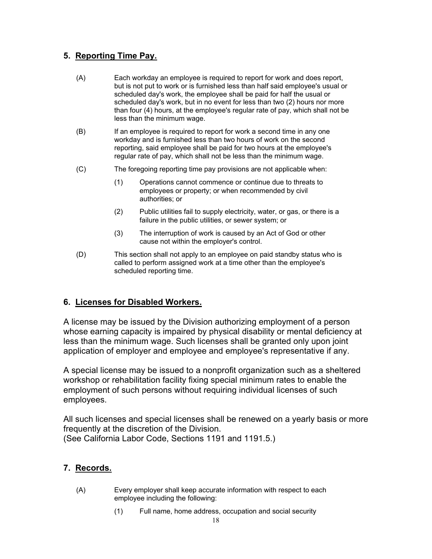### **5. Reporting Time Pay.**

- $(A)$ Each workday an employee is required to report for work and does report, but is not put to work or is furnished less than half said employee's usual or scheduled day's work, the employee shall be paid for half the usual or scheduled day's work, but in no event for less than two (2) hours nor more than four (4) hours, at the employee's regular rate of pay, which shall not be less than the minimum wage.
- $(B)$ If an employee is required to report for work a second time in any one workday and is furnished less than two hours of work on the second reporting, said employee shall be paid for two hours at the employee's regular rate of pay, which shall not be less than the minimum wage.
- $(C)$ The foregoing reporting time pay provisions are not applicable when:
	- (1) Operations cannot commence or continue due to threats to employees or property; or when recommended by civil authorities; or
	- (2) Public utilities fail to supply electricity, water, or gas, or there is a failure in the public utilities, or sewer system; or
	- (3) The interruption of work is caused by an Act of God or other cause not within the employer's control.
- $(D)$  scheduled reporting time. This section shall not apply to an employee on paid standby status who is called to perform assigned work at a time other than the employee's

### **6. Licenses for Disabled Workers.**

A license may be issued by the Division authorizing employment of a person whose earning capacity is impaired by physical disability or mental deficiency at less than the minimum wage. Such licenses shall be granted only upon joint application of employer and employee and employee's representative if any.

A special license may be issued to a nonprofit organization such as a sheltered workshop or rehabilitation facility fixing special minimum rates to enable the employment of such persons without requiring individual licenses of such employees.

All such licenses and special licenses shall be renewed on a yearly basis or more frequently at the discretion of the Division. (See California Labor Code, Sections 1191 and 1191.5.)

### **7. Records.**

- $(A)$ Every employer shall keep accurate information with respect to each employee including the following:
	- (1) Full name, home address, occupation and social security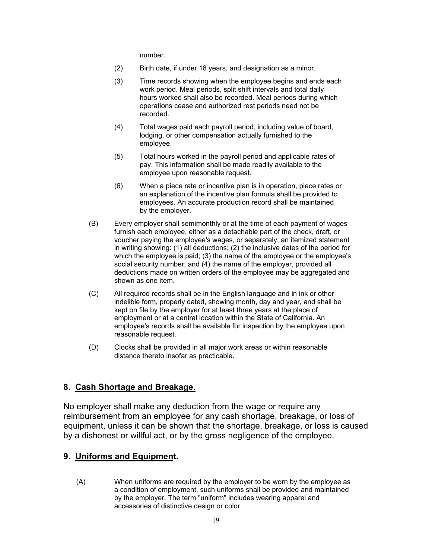number.

- (2) Birth date, if under 18 years, and designation as a minor.
- (3) Time records showing when the employee begins and ends each work period. Meal periods, split shift intervals and total daily hours worked shall also be recorded. Meal periods during which operations cease and authorized rest periods need not be recorded.
- (4) Total wages paid each payroll period, including value of board, lodging, or other compensation actually furnished to the employee.
- (5) Total hours worked in the payroll period and applicable rates of pay. This information shall be made readily available to the employee upon reasonable request.
- (6) When a piece rate or incentive plan is in operation, piece rates or an explanation of the incentive plan formula shall be provided to employees. An accurate production record shall be maintained by the employer.
- (B) Every employer shall semimonthly or at the time of each payment of wages furnish each employee, either as a detachable part of the check, draft, or voucher paying the employee's wages, or separately, an itemized statement in writing showing: (1) all deductions; (2) the inclusive dates of the period for which the employee is paid; (3) the name of the employee or the employee's social security number; and (4) the name of the employer, provided all deductions made on written orders of the employee may be aggregated and shown as one item.
- (C) All required records shall be in the English language and in ink or other indelible form, properly dated, showing month, day and year, and shall be kept on file by the employer for at least three years at the place of employment or at a central location within the State of California. An employee's records shall be available for inspection by the employee upon reasonable request.
- (D) Clocks shall be provided in all major work areas or within reasonable distance thereto insofar as practicable.

### **8. Cash Shortage and Breakage.**

No employer shall make any deduction from the wage or require any reimbursement from an employee for any cash shortage, breakage, or loss of equipment, unless it can be shown that the shortage, breakage, or loss is caused by a dishonest or willful act, or by the gross negligence of the employee.

### **9. Uniforms and Equipment.**

 $(A)$ When uniforms are required by the employer to be worn by the employee as a condition of employment, such uniforms shall be provided and maintained by the employer. The term "uniform" includes wearing apparel and accessories of distinctive design or color.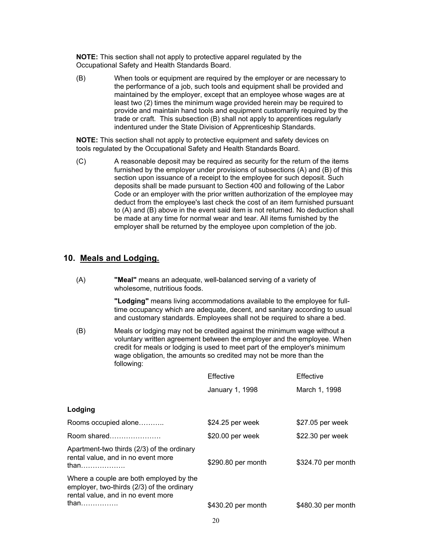**NOTE:** This section shall not apply to protective apparel regulated by the Occupational Safety and Health Standards Board.

 $(B)$ When tools or equipment are required by the employer or are necessary to the performance of a job, such tools and equipment shall be provided and maintained by the employer, except that an employee whose wages are at least two (2) times the minimum wage provided herein may be required to provide and maintain hand tools and equipment customarily required by the trade or craft. This subsection (B) shall not apply to apprentices regularly indentured under the State Division of Apprenticeship Standards.

**NOTE:** This section shall not apply to protective equipment and safety devices on tools regulated by the Occupational Safety and Health Standards Board.

 $(C)$ A reasonable deposit may be required as security for the return of the items furnished by the employer under provisions of subsections (A) and (B) of this section upon issuance of a receipt to the employee for such deposit. Such deposits shall be made pursuant to Section 400 and following of the Labor Code or an employer with the prior written authorization of the employee may deduct from the employee's last check the cost of an item furnished pursuant to (A) and (B) above in the event said item is not returned. No deduction shall be made at any time for normal wear and tear. All items furnished by the employer shall be returned by the employee upon completion of the job.

#### **10. Meals and Lodging.**

 $(A)$ "Meal" means an adequate, well-balanced serving of a variety of wholesome, nutritious foods.

> **"Lodging"** means living accommodations available to the employee for fulltime occupancy which are adequate, decent, and sanitary according to usual and customary standards. Employees shall not be required to share a bed.

 $(B)$ Meals or lodging may not be credited against the minimum wage without a voluntary written agreement between the employer and the employee. When credit for meals or lodging is used to meet part of the employer's minimum wage obligation, the amounts so credited may not be more than the following:

|                                                                                                                             | Effective          | Effective          |
|-----------------------------------------------------------------------------------------------------------------------------|--------------------|--------------------|
|                                                                                                                             | January 1, 1998    | March 1, 1998      |
| Lodging                                                                                                                     |                    |                    |
| Rooms occupied alone                                                                                                        | \$24.25 per week   | \$27.05 per week   |
| Room shared                                                                                                                 | \$20.00 per week   | \$22.30 per week   |
| Apartment-two thirds (2/3) of the ordinary<br>rental value, and in no event more<br>than                                    | \$290.80 per month | \$324.70 per month |
| Where a couple are both employed by the<br>employer, two-thirds (2/3) of the ordinary<br>rental value, and in no event more |                    |                    |
| than                                                                                                                        | \$430.20 per month | \$480.30 per month |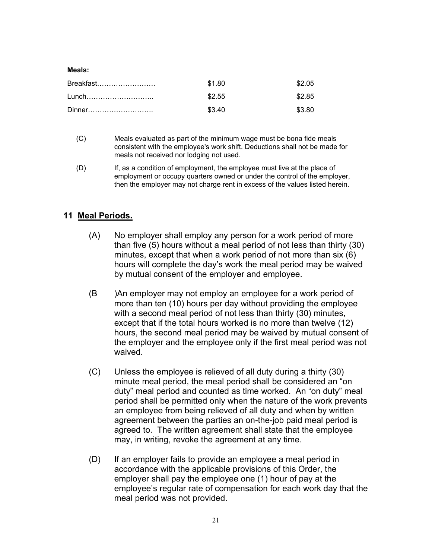**Meals:** 

| Breakfast | \$1.80 | \$2.05 |
|-----------|--------|--------|
| Lunch     | \$2.55 | \$2.85 |
| Dinner    | \$3.40 | \$3.80 |

- $(C)$ Meals evaluated as part of the minimum wage must be bona fide meals consistent with the employee's work shift. Deductions shall not be made for meals not received nor lodging not used.
- $(D)$ If, as a condition of employment, the employee must live at the place of employment or occupy quarters owned or under the control of the employer, then the employer may not charge rent in excess of the values listed herein.

#### **11 Meal Periods.**

- (A) No employer shall employ any person for a work period of more than five (5) hours without a meal period of not less than thirty (30) minutes, except that when a work period of not more than six (6) hours will complete the day's work the meal period may be waived by mutual consent of the employer and employee.
- (B )An employer may not employ an employee for a work period of more than ten (10) hours per day without providing the employee with a second meal period of not less than thirty (30) minutes, except that if the total hours worked is no more than twelve (12) hours, the second meal period may be waived by mutual consent of the employer and the employee only if the first meal period was not waived.
- (C) Unless the employee is relieved of all duty during a thirty (30) minute meal period, the meal period shall be considered an "on duty" meal period and counted as time worked. An "on duty" meal period shall be permitted only when the nature of the work prevents an employee from being relieved of all duty and when by written agreement between the parties an on-the-job paid meal period is agreed to. The written agreement shall state that the employee may, in writing, revoke the agreement at any time.
- (D) If an employer fails to provide an employee a meal period in accordance with the applicable provisions of this Order, the employer shall pay the employee one (1) hour of pay at the employee's regular rate of compensation for each work day that the meal period was not provided.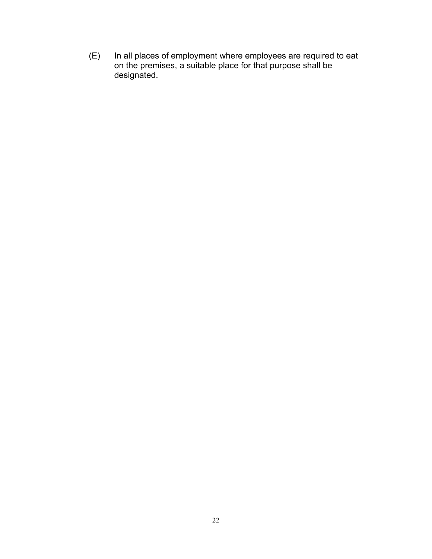(E) In all places of employment where employees are required to eat on the premises, a suitable place for that purpose shall be designated.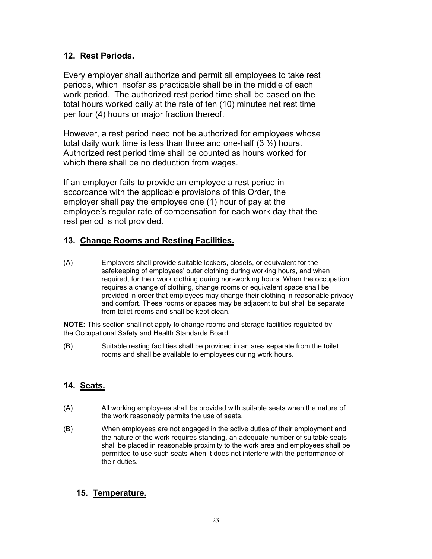### **12. Rest Periods.**

Every employer shall authorize and permit all employees to take rest periods, which insofar as practicable shall be in the middle of each work period. The authorized rest period time shall be based on the total hours worked daily at the rate of ten (10) minutes net rest time per four (4) hours or major fraction thereof.

However, a rest period need not be authorized for employees whose total daily work time is less than three and one-half  $(3 \frac{1}{2})$  hours. Authorized rest period time shall be counted as hours worked for which there shall be no deduction from wages.

If an employer fails to provide an employee a rest period in accordance with the applicable provisions of this Order, the employer shall pay the employee one (1) hour of pay at the employee's regular rate of compensation for each work day that the rest period is not provided.

### **13. Change Rooms and Resting Facilities.**

 $(A)$ Employers shall provide suitable lockers, closets, or equivalent for the safekeeping of employees' outer clothing during working hours, and when required, for their work clothing during non-working hours. When the occupation requires a change of clothing, change rooms or equivalent space shall be provided in order that employees may change their clothing in reasonable privacy and comfort. These rooms or spaces may be adjacent to but shall be separate from toilet rooms and shall be kept clean.

**NOTE:** This section shall not apply to change rooms and storage facilities regulated by the Occupational Safety and Health Standards Board.

 $(B)$ Suitable resting facilities shall be provided in an area separate from the toilet rooms and shall be available to employees during work hours.

### **14. Seats.**

- $(A)$ All working employees shall be provided with suitable seats when the nature of the work reasonably permits the use of seats.
- $(B)$ When employees are not engaged in the active duties of their employment and the nature of the work requires standing, an adequate number of suitable seats shall be placed in reasonable proximity to the work area and employees shall be permitted to use such seats when it does not interfere with the performance of their duties.

### **15. Temperature.**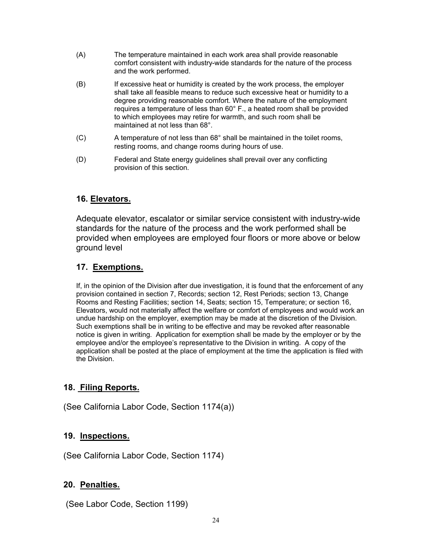- $(A)$ The temperature maintained in each work area shall provide reasonable comfort consistent with industry-wide standards for the nature of the process and the work performed.
- $(B)$ If excessive heat or humidity is created by the work process, the employer shall take all feasible means to reduce such excessive heat or humidity to a degree providing reasonable comfort. Where the nature of the employment requires a temperature of less than 60° F., a heated room shall be provided to which employees may retire for warmth, and such room shall be maintained at not less than 68°.
- $(C)$ A temperature of not less than 68° shall be maintained in the toilet rooms, resting rooms, and change rooms during hours of use.
- $(D)$ Federal and State energy guidelines shall prevail over any conflicting provision of this section.

### **16. Elevators.**

Adequate elevator, escalator or similar service consistent with industry-wide standards for the nature of the process and the work performed shall be provided when employees are employed four floors or more above or below ground level

### **17. Exemptions.**

If, in the opinion of the Division after due investigation, it is found that the enforcement of any provision contained in section 7, Records; section 12, Rest Periods; section 13, Change Rooms and Resting Facilities; section 14, Seats; section 15, Temperature; or section 16, Elevators, would not materially affect the welfare or comfort of employees and would work an undue hardship on the employer, exemption may be made at the discretion of the Division. Such exemptions shall be in writing to be effective and may be revoked after reasonable notice is given in writing. Application for exemption shall be made by the employer or by the employee and/or the employee's representative to the Division in writing. A copy of the application shall be posted at the place of employment at the time the application is filed with the Division.

### **18. Filing Reports.**

(See California Labor Code, Section 1174(a))

### **19. Inspections.**

(See California Labor Code, Section 1174)

### **20. Penalties.**

(See Labor Code, Section 1199)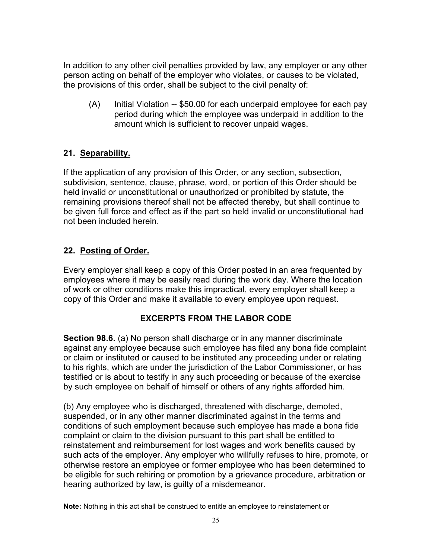In addition to any other civil penalties provided by law, any employer or any other person acting on behalf of the employer who violates, or causes to be violated, the provisions of this order, shall be subject to the civil penalty of:

(A) Initial Violation -- \$50.00 for each underpaid employee for each pay period during which the employee was underpaid in addition to the amount which is sufficient to recover unpaid wages.

## **21. Separability.**

If the application of any provision of this Order, or any section, subsection, subdivision, sentence, clause, phrase, word, or portion of this Order should be held invalid or unconstitutional or unauthorized or prohibited by statute, the remaining provisions thereof shall not be affected thereby, but shall continue to be given full force and effect as if the part so held invalid or unconstitutional had not been included herein.

### **22. Posting of Order.**

Every employer shall keep a copy of this Order posted in an area frequented by employees where it may be easily read during the work day. Where the location of work or other conditions make this impractical, every employer shall keep a copy of this Order and make it available to every employee upon request.

### **EXCERPTS FROM THE LABOR CODE**

**Section 98.6.** (a) No person shall discharge or in any manner discriminate against any employee because such employee has filed any bona fide complaint or claim or instituted or caused to be instituted any proceeding under or relating to his rights, which are under the jurisdiction of the Labor Commissioner, or has testified or is about to testify in any such proceeding or because of the exercise by such employee on behalf of himself or others of any rights afforded him.

(b) Any employee who is discharged, threatened with discharge, demoted, suspended, or in any other manner discriminated against in the terms and conditions of such employment because such employee has made a bona fide complaint or claim to the division pursuant to this part shall be entitled to reinstatement and reimbursement for lost wages and work benefits caused by such acts of the employer. Any employer who willfully refuses to hire, promote, or otherwise restore an employee or former employee who has been determined to be eligible for such rehiring or promotion by a grievance procedure, arbitration or hearing authorized by law, is guilty of a misdemeanor.

**Note:** Nothing in this act shall be construed to entitle an employee to reinstatement or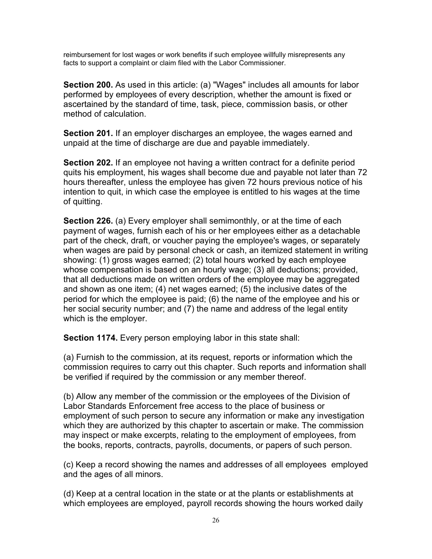reimbursement for lost wages or work benefits if such employee willfully misrepresents any facts to support a complaint or claim filed with the Labor Commissioner.

**Section 200.** As used in this article: (a) "Wages" includes all amounts for labor performed by employees of every description, whether the amount is fixed or ascertained by the standard of time, task, piece, commission basis, or other method of calculation.

**Section 201.** If an employer discharges an employee, the wages earned and unpaid at the time of discharge are due and payable immediately.

**Section 202.** If an employee not having a written contract for a definite period quits his employment, his wages shall become due and payable not later than 72 hours thereafter, unless the employee has given 72 hours previous notice of his intention to quit, in which case the employee is entitled to his wages at the time of quitting.

**Section 226.** (a) Every employer shall semimonthly, or at the time of each payment of wages, furnish each of his or her employees either as a detachable part of the check, draft, or voucher paying the employee's wages, or separately when wages are paid by personal check or cash, an itemized statement in writing showing: (1) gross wages earned; (2) total hours worked by each employee whose compensation is based on an hourly wage; (3) all deductions; provided, that all deductions made on written orders of the employee may be aggregated and shown as one item; (4) net wages earned; (5) the inclusive dates of the period for which the employee is paid; (6) the name of the employee and his or her social security number; and (7) the name and address of the legal entity which is the employer.

**Section 1174.** Every person employing labor in this state shall:

(a) Furnish to the commission, at its request, reports or information which the commission requires to carry out this chapter. Such reports and information shall be verified if required by the commission or any member thereof.

(b) Allow any member of the commission or the employees of the Division of Labor Standards Enforcement free access to the place of business or employment of such person to secure any information or make any investigation which they are authorized by this chapter to ascertain or make. The commission may inspect or make excerpts, relating to the employment of employees, from the books, reports, contracts, payrolls, documents, or papers of such person.

(c) Keep a record showing the names and addresses of all employees employed and the ages of all minors.

(d) Keep at a central location in the state or at the plants or establishments at which employees are employed, payroll records showing the hours worked daily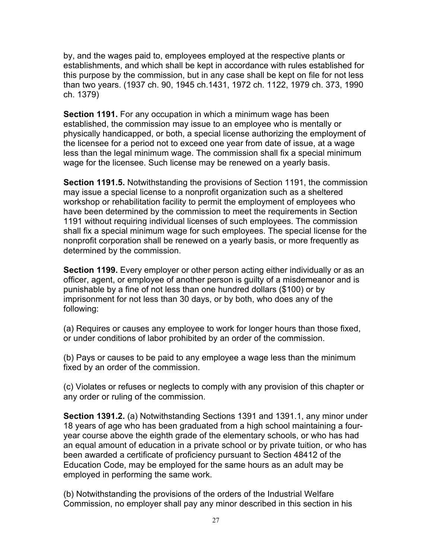by, and the wages paid to, employees employed at the respective plants or establishments, and which shall be kept in accordance with rules established for this purpose by the commission, but in any case shall be kept on file for not less than two years. (1937 ch. 90, 1945 ch.1431, 1972 ch. 1122, 1979 ch. 373, 1990 ch. 1379)

**Section 1191.** For any occupation in which a minimum wage has been established, the commission may issue to an employee who is mentally or physically handicapped, or both, a special license authorizing the employment of the licensee for a period not to exceed one year from date of issue, at a wage less than the legal minimum wage. The commission shall fix a special minimum wage for the licensee. Such license may be renewed on a yearly basis.

**Section 1191.5.** Notwithstanding the provisions of Section 1191, the commission may issue a special license to a nonprofit organization such as a sheltered workshop or rehabilitation facility to permit the employment of employees who have been determined by the commission to meet the requirements in Section 1191 without requiring individual licenses of such employees. The commission shall fix a special minimum wage for such employees. The special license for the nonprofit corporation shall be renewed on a yearly basis, or more frequently as determined by the commission.

**Section 1199.** Every employer or other person acting either individually or as an officer, agent, or employee of another person is guilty of a misdemeanor and is punishable by a fine of not less than one hundred dollars (\$100) or by imprisonment for not less than 30 days, or by both, who does any of the following:

(a) Requires or causes any employee to work for longer hours than those fixed, or under conditions of labor prohibited by an order of the commission.

(b) Pays or causes to be paid to any employee a wage less than the minimum fixed by an order of the commission.

(c) Violates or refuses or neglects to comply with any provision of this chapter or any order or ruling of the commission.

**Section 1391.2.** (a) Notwithstanding Sections 1391 and 1391.1, any minor under 18 years of age who has been graduated from a high school maintaining a fouryear course above the eighth grade of the elementary schools, or who has had an equal amount of education in a private school or by private tuition, or who has been awarded a certificate of proficiency pursuant to Section 48412 of the Education Code, may be employed for the same hours as an adult may be employed in performing the same work.

(b) Notwithstanding the provisions of the orders of the Industrial Welfare Commission, no employer shall pay any minor described in this section in his